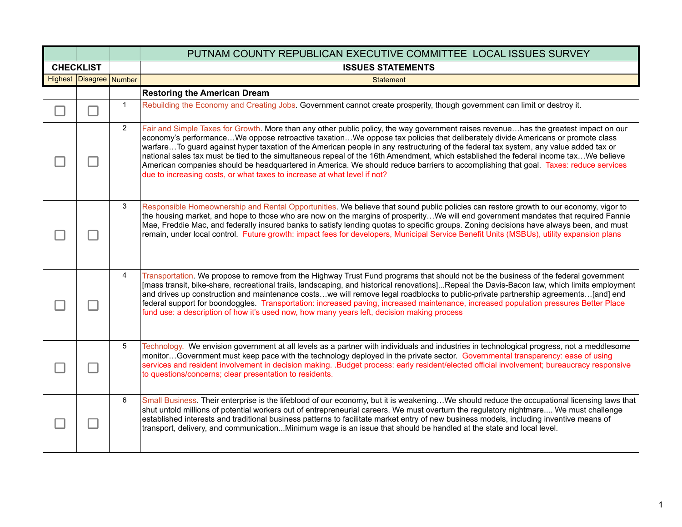|                         |                | PUTNAM COUNTY REPUBLICAN EXECUTIVE COMMITTEE LOCAL ISSUES SURVEY                                                                                                                                                                                                                                                                                                                                                                                                                                                                                                                                                                                                                                                                                                         |
|-------------------------|----------------|--------------------------------------------------------------------------------------------------------------------------------------------------------------------------------------------------------------------------------------------------------------------------------------------------------------------------------------------------------------------------------------------------------------------------------------------------------------------------------------------------------------------------------------------------------------------------------------------------------------------------------------------------------------------------------------------------------------------------------------------------------------------------|
| <b>CHECKLIST</b>        |                | <b>ISSUES STATEMENTS</b>                                                                                                                                                                                                                                                                                                                                                                                                                                                                                                                                                                                                                                                                                                                                                 |
| Highest Disagree Number |                | <b>Statement</b>                                                                                                                                                                                                                                                                                                                                                                                                                                                                                                                                                                                                                                                                                                                                                         |
|                         |                | <b>Restoring the American Dream</b>                                                                                                                                                                                                                                                                                                                                                                                                                                                                                                                                                                                                                                                                                                                                      |
|                         | $\mathbf{1}$   | Rebuilding the Economy and Creating Jobs. Government cannot create prosperity, though government can limit or destroy it.                                                                                                                                                                                                                                                                                                                                                                                                                                                                                                                                                                                                                                                |
|                         | $\overline{2}$ | Fair and Simple Taxes for Growth. More than any other public policy, the way government raises revenuehas the greatest impact on our<br>economy's performanceWe oppose retroactive taxationWe oppose tax policies that deliberately divide Americans or promote class<br>warfareTo guard against hyper taxation of the American people in any restructuring of the federal tax system, any value added tax or<br>national sales tax must be tied to the simultaneous repeal of the 16th Amendment, which established the federal income taxWe believe<br>American companies should be headquartered in America. We should reduce barriers to accomplishing that goal. Taxes: reduce services<br>due to increasing costs, or what taxes to increase at what level if not? |
|                         | 3              | Responsible Homeownership and Rental Opportunities. We believe that sound public policies can restore growth to our economy, vigor to<br>the housing market, and hope to those who are now on the margins of prosperityWe will end government mandates that required Fannie<br>Mae, Freddie Mac, and federally insured banks to satisfy lending quotas to specific groups. Zoning decisions have always been, and must<br>remain, under local control. Future growth: impact fees for developers, Municipal Service Benefit Units (MSBUs), utility expansion plans                                                                                                                                                                                                       |
|                         | 4              | Transportation. We propose to remove from the Highway Trust Fund programs that should not be the business of the federal government<br>[mass transit, bike-share, recreational trails, landscaping, and historical renovations]Repeal the Davis-Bacon law, which limits employment<br>and drives up construction and maintenance costswe will remove legal roadblocks to public-private partnership agreements[and] end<br>federal support for boondoggles. Transportation: increased paving, increased maintenance, increased population pressures Better Place<br>fund use: a description of how it's used now, how many years left, decision making process                                                                                                           |
|                         | 5              | Technology. We envision government at all levels as a partner with individuals and industries in technological progress, not a meddlesome<br>monitorGovernment must keep pace with the technology deployed in the private sector. Governmental transparency: ease of using<br>services and resident involvement in decision making. .Budget process: early resident/elected official involvement; bureaucracy responsive<br>to questions/concerns; clear presentation to residents.                                                                                                                                                                                                                                                                                      |
|                         | 6              | Small Business. Their enterprise is the lifeblood of our economy, but it is weakeningWe should reduce the occupational licensing laws that<br>shut untold millions of potential workers out of entrepreneurial careers. We must overturn the regulatory nightmare We must challenge<br>established interests and traditional business patterns to facilitate market entry of new business models, including inventive means of<br>transport, delivery, and communicationMinimum wage is an issue that should be handled at the state and local level.                                                                                                                                                                                                                    |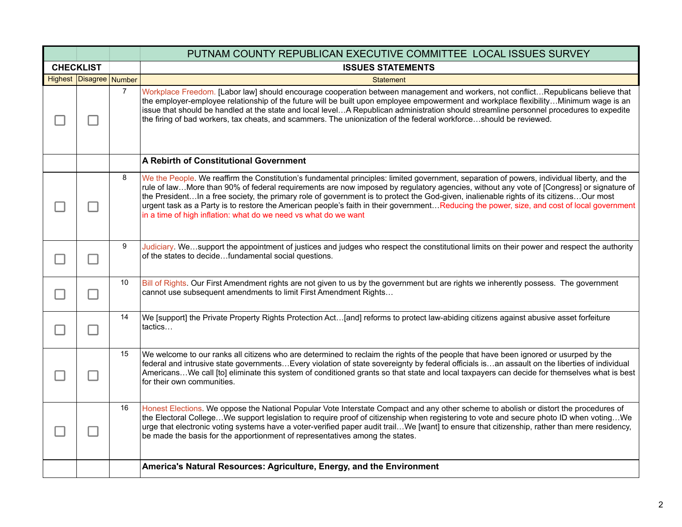|                  |                         |                | PUTNAM COUNTY REPUBLICAN EXECUTIVE COMMITTEE LOCAL ISSUES SURVEY                                                                                                                                                                                                                                                                                                                                                                                                                                                                                                                                                                                  |
|------------------|-------------------------|----------------|---------------------------------------------------------------------------------------------------------------------------------------------------------------------------------------------------------------------------------------------------------------------------------------------------------------------------------------------------------------------------------------------------------------------------------------------------------------------------------------------------------------------------------------------------------------------------------------------------------------------------------------------------|
| <b>CHECKLIST</b> |                         |                | <b>ISSUES STATEMENTS</b>                                                                                                                                                                                                                                                                                                                                                                                                                                                                                                                                                                                                                          |
|                  | Highest Disagree Number |                | <b>Statement</b>                                                                                                                                                                                                                                                                                                                                                                                                                                                                                                                                                                                                                                  |
|                  |                         | $\overline{7}$ | Workplace Freedom. [Labor law] should encourage cooperation between management and workers, not conflictRepublicans believe that<br>the employer-employee relationship of the future will be built upon employee empowerment and workplace flexibilityMinimum wage is an<br>issue that should be handled at the state and local levelA Republican administration should streamline personnel procedures to expedite<br>the firing of bad workers, tax cheats, and scammers. The unionization of the federal workforceshould be reviewed.                                                                                                          |
|                  |                         |                | A Rebirth of Constitutional Government                                                                                                                                                                                                                                                                                                                                                                                                                                                                                                                                                                                                            |
|                  |                         | 8              | We the People. We reaffirm the Constitution's fundamental principles: limited government, separation of powers, individual liberty, and the<br>rule of lawMore than 90% of federal requirements are now imposed by regulatory agencies, without any vote of [Congress] or signature of<br>the PresidentIn a free society, the primary role of government is to protect the God-given, inalienable rights of its citizensOur most<br>urgent task as a Party is to restore the American people's faith in their governmentReducing the power, size, and cost of local government<br>in a time of high inflation: what do we need vs what do we want |
|                  |                         | 9              | Judiciary. Wesupport the appointment of justices and judges who respect the constitutional limits on their power and respect the authority<br>of the states to decidefundamental social questions.                                                                                                                                                                                                                                                                                                                                                                                                                                                |
|                  |                         | 10             | Bill of Rights. Our First Amendment rights are not given to us by the government but are rights we inherently possess. The government<br>cannot use subsequent amendments to limit First Amendment Rights                                                                                                                                                                                                                                                                                                                                                                                                                                         |
|                  |                         | 14             | We [support] the Private Property Rights Protection Act[and] reforms to protect law-abiding citizens against abusive asset forfeiture<br>tactics                                                                                                                                                                                                                                                                                                                                                                                                                                                                                                  |
|                  |                         | 15             | We welcome to our ranks all citizens who are determined to reclaim the rights of the people that have been ignored or usurped by the<br>federal and intrusive state governmentsEvery violation of state sovereignty by federal officials isan assault on the liberties of individual<br>AmericansWe call [to] eliminate this system of conditioned grants so that state and local taxpayers can decide for themselves what is best<br>for their own communities.                                                                                                                                                                                  |
|                  |                         | 16             | Honest Elections. We oppose the National Popular Vote Interstate Compact and any other scheme to abolish or distort the procedures of<br>the Electoral CollegeWe support legislation to require proof of citizenship when registering to vote and secure photo ID when votingWe<br>urge that electronic voting systems have a voter-verified paper audit trailWe [want] to ensure that citizenship, rather than mere residency,<br>be made the basis for the apportionment of representatives among the states.                                                                                                                                   |
|                  |                         |                | America's Natural Resources: Agriculture, Energy, and the Environment                                                                                                                                                                                                                                                                                                                                                                                                                                                                                                                                                                             |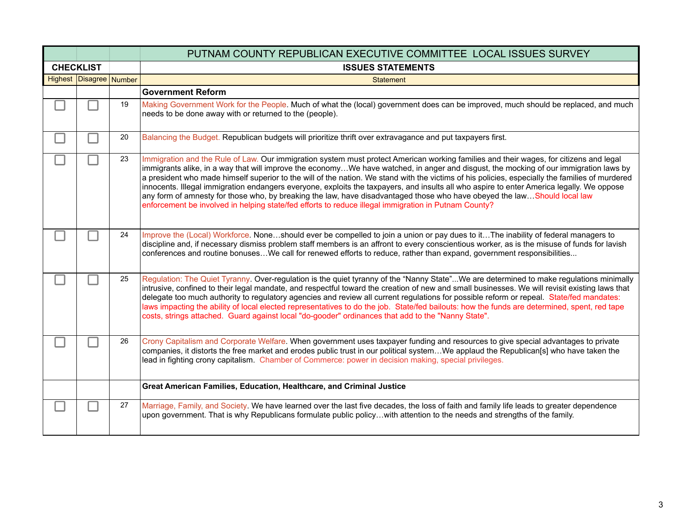|                  |                         |    | PUTNAM COUNTY REPUBLICAN EXECUTIVE COMMITTEE LOCAL ISSUES SURVEY                                                                                                                                                                                                                                                                                                                                                                                                                                                                                                                                                                                                                                                                                                                                                    |
|------------------|-------------------------|----|---------------------------------------------------------------------------------------------------------------------------------------------------------------------------------------------------------------------------------------------------------------------------------------------------------------------------------------------------------------------------------------------------------------------------------------------------------------------------------------------------------------------------------------------------------------------------------------------------------------------------------------------------------------------------------------------------------------------------------------------------------------------------------------------------------------------|
| <b>CHECKLIST</b> |                         |    | <b>ISSUES STATEMENTS</b>                                                                                                                                                                                                                                                                                                                                                                                                                                                                                                                                                                                                                                                                                                                                                                                            |
|                  | Highest Disagree Number |    | <b>Statement</b>                                                                                                                                                                                                                                                                                                                                                                                                                                                                                                                                                                                                                                                                                                                                                                                                    |
|                  |                         |    | <b>Government Reform</b>                                                                                                                                                                                                                                                                                                                                                                                                                                                                                                                                                                                                                                                                                                                                                                                            |
|                  |                         | 19 | Making Government Work for the People. Much of what the (local) government does can be improved, much should be replaced, and much<br>needs to be done away with or returned to the (people).                                                                                                                                                                                                                                                                                                                                                                                                                                                                                                                                                                                                                       |
|                  |                         | 20 | Balancing the Budget. Republican budgets will prioritize thrift over extravagance and put taxpayers first.                                                                                                                                                                                                                                                                                                                                                                                                                                                                                                                                                                                                                                                                                                          |
|                  |                         | 23 | Immigration and the Rule of Law. Our immigration system must protect American working families and their wages, for citizens and legal<br>immigrants alike, in a way that will improve the economyWe have watched, in anger and disgust, the mocking of our immigration laws by<br>a president who made himself superior to the will of the nation. We stand with the victims of his policies, especially the families of murdered<br>innocents. Illegal immigration endangers everyone, exploits the taxpayers, and insults all who aspire to enter America legally. We oppose<br>any form of amnesty for those who, by breaking the law, have disadvantaged those who have obeyed the lawShould local law<br>enforcement be involved in helping state/fed efforts to reduce illegal immigration in Putnam County? |
|                  |                         | 24 | Improve the (Local) Workforce. Noneshould ever be compelled to join a union or pay dues to itThe inability of federal managers to<br>discipline and, if necessary dismiss problem staff members is an affront to every conscientious worker, as is the misuse of funds for lavish<br>conferences and routine bonusesWe call for renewed efforts to reduce, rather than expand, government responsibilities                                                                                                                                                                                                                                                                                                                                                                                                          |
|                  |                         | 25 | Regulation: The Quiet Tyranny. Over-regulation is the quiet tyranny of the "Nanny State"We are determined to make regulations minimally<br>intrusive, confined to their legal mandate, and respectful toward the creation of new and small businesses. We will revisit existing laws that<br>delegate too much authority to regulatory agencies and review all current regulations for possible reform or repeal. State/fed mandates:<br>laws impacting the ability of local elected representatives to do the job. State/fed bailouts: how the funds are determined, spent, red tape<br>costs, strings attached. Guard against local "do-gooder" ordinances that add to the "Nanny State".                                                                                                                         |
|                  |                         | 26 | Crony Capitalism and Corporate Welfare. When government uses taxpayer funding and resources to give special advantages to private<br>companies, it distorts the free market and erodes public trust in our political systemWe applaud the Republican[s] who have taken the<br>lead in fighting crony capitalism. Chamber of Commerce: power in decision making, special privileges.                                                                                                                                                                                                                                                                                                                                                                                                                                 |
|                  |                         |    | Great American Families, Education, Healthcare, and Criminal Justice                                                                                                                                                                                                                                                                                                                                                                                                                                                                                                                                                                                                                                                                                                                                                |
|                  |                         | 27 | Marriage, Family, and Society. We have learned over the last five decades, the loss of faith and family life leads to greater dependence<br>upon government. That is why Republicans formulate public policywith attention to the needs and strengths of the family.                                                                                                                                                                                                                                                                                                                                                                                                                                                                                                                                                |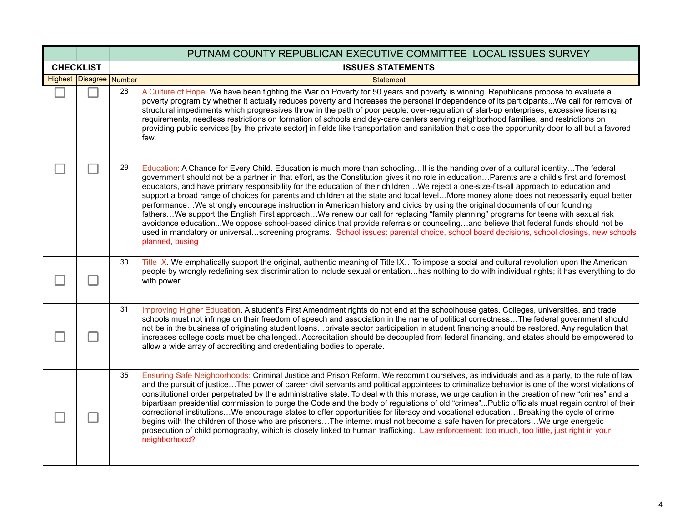|                  |                         |    | PUTNAM COUNTY REPUBLICAN EXECUTIVE COMMITTEE LOCAL ISSUES SURVEY                                                                                                                                                                                                                                                                                                                                                                                                                                                                                                                                                                                                                                                                                                                                                                                                                                                                                                                                                                                                                                                                               |
|------------------|-------------------------|----|------------------------------------------------------------------------------------------------------------------------------------------------------------------------------------------------------------------------------------------------------------------------------------------------------------------------------------------------------------------------------------------------------------------------------------------------------------------------------------------------------------------------------------------------------------------------------------------------------------------------------------------------------------------------------------------------------------------------------------------------------------------------------------------------------------------------------------------------------------------------------------------------------------------------------------------------------------------------------------------------------------------------------------------------------------------------------------------------------------------------------------------------|
| <b>CHECKLIST</b> |                         |    | <b>ISSUES STATEMENTS</b>                                                                                                                                                                                                                                                                                                                                                                                                                                                                                                                                                                                                                                                                                                                                                                                                                                                                                                                                                                                                                                                                                                                       |
|                  | Highest Disagree Number |    | <b>Statement</b>                                                                                                                                                                                                                                                                                                                                                                                                                                                                                                                                                                                                                                                                                                                                                                                                                                                                                                                                                                                                                                                                                                                               |
|                  |                         | 28 | A Culture of Hope. We have been fighting the War on Poverty for 50 years and poverty is winning. Republicans propose to evaluate a<br>poverty program by whether it actually reduces poverty and increases the personal independence of its participantsWe call for removal of<br>structural impediments which progressives throw in the path of poor people: over-regulation of start-up enterprises, excessive licensing<br>requirements, needless restrictions on formation of schools and day-care centers serving neighborhood families, and restrictions on<br>providing public services [by the private sector] in fields like transportation and sanitation that close the opportunity door to all but a favored<br>few.                                                                                                                                                                                                                                                                                                                                                                                                               |
|                  |                         | 29 | Education: A Chance for Every Child. Education is much more than schoolingIt is the handing over of a cultural identityThe federal<br>government should not be a partner in that effort, as the Constitution gives it no role in educationParents are a child's first and foremost<br>educators, and have primary responsibility for the education of their childrenWe reject a one-size-fits-all approach to education and<br>support a broad range of choices for parents and children at the state and local levelMore money alone does not necessarily equal better<br>performanceWe strongly encourage instruction in American history and civics by using the original documents of our founding<br>fathersWe support the English First approachWe renew our call for replacing "family planning" programs for teens with sexual risk<br>avoidance educationWe oppose school-based clinics that provide referrals or counselingand believe that federal funds should not be<br>used in mandatory or universalscreening programs. School issues: parental choice, school board decisions, school closings, new schools<br>planned, busing |
|                  |                         | 30 | Title IX. We emphatically support the original, authentic meaning of Title IXTo impose a social and cultural revolution upon the American<br>people by wrongly redefining sex discrimination to include sexual orientationhas nothing to do with individual rights; it has everything to do<br>with power.                                                                                                                                                                                                                                                                                                                                                                                                                                                                                                                                                                                                                                                                                                                                                                                                                                     |
|                  |                         | 31 | Improving Higher Education. A student's First Amendment rights do not end at the schoolhouse gates. Colleges, universities, and trade<br>schools must not infringe on their freedom of speech and association in the name of political correctnessThe federal government should<br>not be in the business of originating student loansprivate sector participation in student financing should be restored. Any regulation that<br>increases college costs must be challenged Accreditation should be decoupled from federal financing, and states should be empowered to<br>allow a wide array of accrediting and credentialing bodies to operate.                                                                                                                                                                                                                                                                                                                                                                                                                                                                                            |
|                  |                         | 35 | Ensuring Safe Neighborhoods: Criminal Justice and Prison Reform. We recommit ourselves, as individuals and as a party, to the rule of law<br>and the pursuit of justiceThe power of career civil servants and political appointees to criminalize behavior is one of the worst violations of<br>constitutional order perpetrated by the administrative state. To deal with this morass, we urge caution in the creation of new "crimes" and a<br>bipartisan presidential commission to purge the Code and the body of regulations of old "crimes"Public officials must regain control of their<br>correctional institutionsWe encourage states to offer opportunities for literacy and vocational educationBreaking the cycle of crime<br>begins with the children of those who are prisonersThe internet must not become a safe haven for predatorsWe urge energetic<br>prosecution of child pornography, wihich is closely linked to human trafficking. Law enforcement: too much, too little, just right in your<br>neighborhood?                                                                                                           |